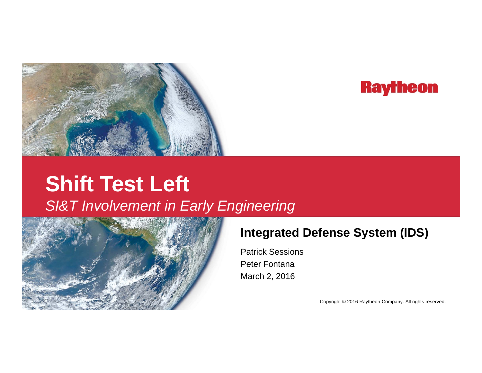

## **Raytheon**

# **Shift Test Left Left** *SI&T Involvement in Early Engineering*



### **Integrated Defense System (IDS)**

Patrick SessionsPeter FontanaMarch 2, 2016

Copyright © 2016 Raytheon Company. All rights reserved.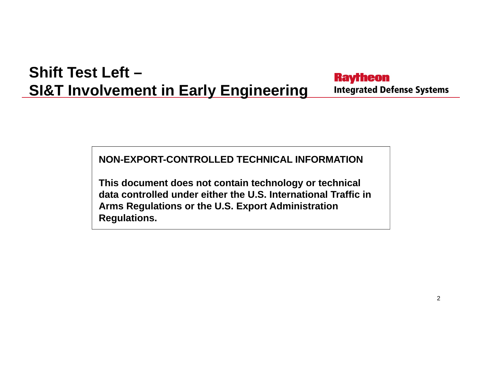#### **Shift Test Left –Raytheon SI&T Involvement in Early Engineering Integrated Defense Systems**

**NON-EXPORT-CONTROLLED TECHNICAL INFORMATION**

**This document does not contain technology or technical data controlled under either the U.S. International Traffic in Arms Regulations or the U.S. Export Administration Regulations.**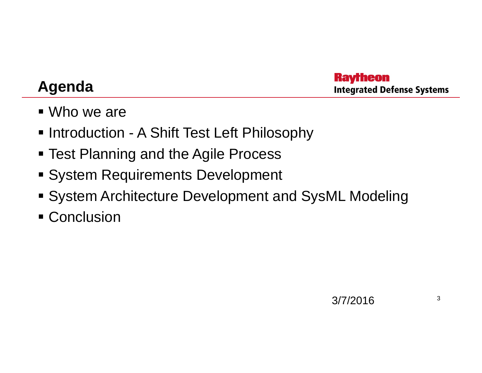### **Agenda**

**Raytheon Integrated Defense Systems** 

- Who we are
- **Introduction A Shift Test Left Philosophy**
- **Test Planning and the Agile Process**
- **System Requirements Development**
- System Architecture Development and SysML Modeling
- **Conclusion**

3/7/2016 $6 \overline{\hspace{1.6cm}3}$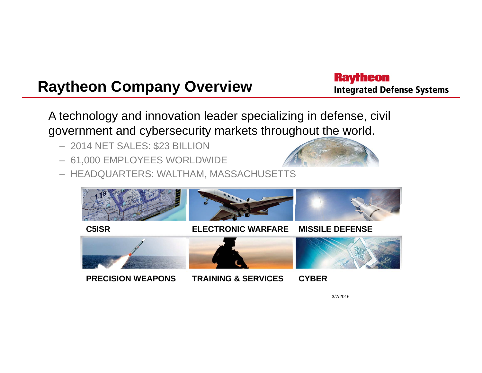## **Raytheon Company Overview**

**Raytheon Integrated Defense Systems** 

A technology and innovation leader specializing in defense, civil government and cybersecurity markets throughout the world.

- 2014 NET SALES: \$23 BILLION
- 61,000 EMPLOYEES WORLDWIDE
- HEADQUARTERS: WALTHAM, MASSACHUSETTS



3/7/2016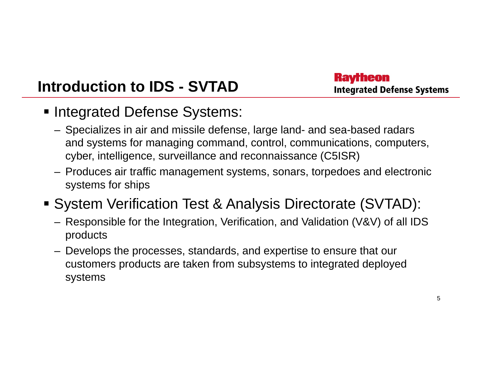## **Introduction to IDS - SVTAD**

**Ravrheon Integrated Defense Systems** 

- **Integrated Defense Systems:** 
	- Specializes in air and missile defense, large land- and sea-based radars and systems for managing command, control, communications, computers, cyber, intelligence, surveillance and reconnaissance (C5ISR)
	- Produces air traffic management systems, sonars, torpedoes and electronic systems for ships
- System Verification Test & Analysis Directorate (SVTAD):
	- Responsible for the Integration, Verification, and Validation (V&V) of all IDS products
	- Develops the processes, standards, and expertise to ensure that our customers products are taken from subsystems to integrated deployed systems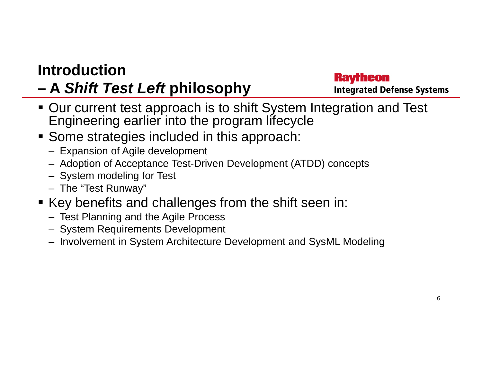### **Introduction**

#### **– A** *Shift Test Left* **philosophy**

#### **Raytheon Integrated Defense Systems**

- Our current test approach is to shift System Integration and Test Engineering earlier into the program lifecycle
- **Some strategies included in this approach:** 
	- Expansion of Agile development
	- Adoption of Acceptance Test-Driven Development (ATDD) concepts
	- System modeling for Test
	- The "Test Runway"
- **Key benefits and challenges from the shift seen in:** 
	- Test Planning and the Agile Process
	- System Requirements Development
	- Involvement in System Architecture Development and SysML Modeling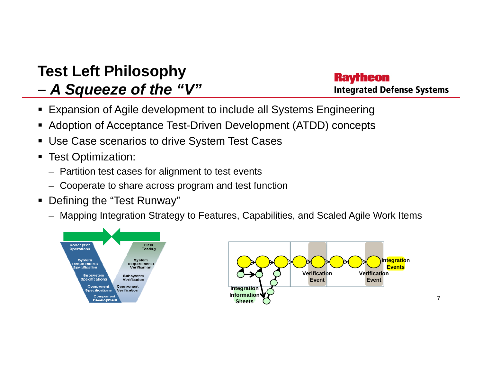#### **Test Left Philosophy –***A Squeeze of the "V"*

#### **Ravrheon Integrated Defense Systems**

- Expansion of Agile development to include all Systems Engineering
- Adoption of Acceptance Test-Driven Development (ATDD) concepts
- Use Case scenarios to drive System Test Cases
- Test Optimization:
	- Partition test cases for alignment to test events
	- Cooperate to share across program and test function
- Defining the "Test Runway"
	- Mapping Integration Strategy to Features, Capabilities, and Scaled Agile Work Items



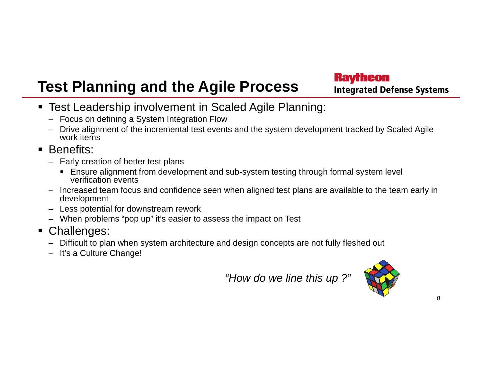### **Test Planning and the Agile Process**

#### **Raytheon Integrated Defense Systems**

- Test Leadership involvement in Scaled Agile Planning:
	- Focus on defining a System Integration Flow
	- Drive alignment of the incremental test events and the system development tracked by Scaled Agile work items

#### **Benefits:**

- Early creation of better test plans
	- Ensure alignment from development and sub-system testing through formal system level verification events
- Increased team focus and confidence seen when aligned test plans are available to the team early in development
- Less potential for downstream rework
- When problems "pop up" it's easier to assess the impact on Test
- Challenges:
	- Difficult to plan when system architecture and design concepts are not fully fleshed out
	- It's a Culture Change!

*"How do we line this up ?"*

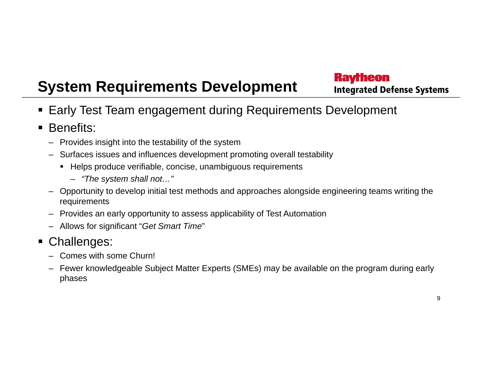## **System Requirements Development**

**Raytheon Integrated Defense Systems** 

- Early Test Team engagement during Requirements Development
- Benefits:
	- Provides insight into the testability of the system
	- Surfaces issues and influences development promoting overall testability
		- Helps produce verifiable, concise, unambiguous requirements
			- *"The system shall not…"*
	- Opportunity to develop initial test methods and approaches alongside engineering teams writing the requirements
	- Provides an early opportunity to assess applicability of Test Automation
	- Allows for significant "*Get Smart Time* "
- ٠ Challenges:
	- Comes with some Churn!
	- $\,$  Fewer knowledgeable Subject Matter Experts (SMEs) may be available on the program during early phases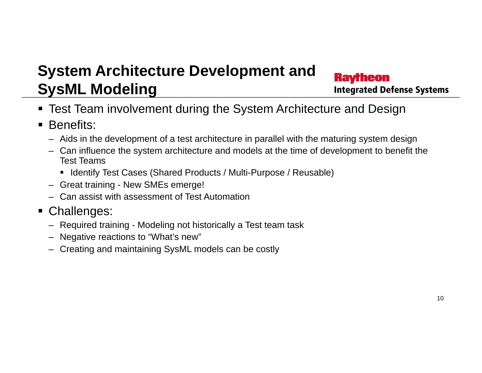#### **System Architecture Development and Ravrheon SysML Modeling Integrated Defense Systems**

- Test Team involvement during the System Architecture and Design
- **Benefits:** 
	- Aids in the development of a test architecture in parallel with the maturing system design
	- Can influence the system architecture and models at the time of development to benefit the Test Teams
		- Identify Test Cases (Shared Products / Multi-Purpose / Reusable)
	- Great training New SMEs emerge!
	- Can assist with assessment of Test Automation
- Challenges:
	- Required training Modeling not historically <sup>a</sup> Test team task
	- Negative reactions to "What's new"
	- Creating and maintaining SysML models can be costly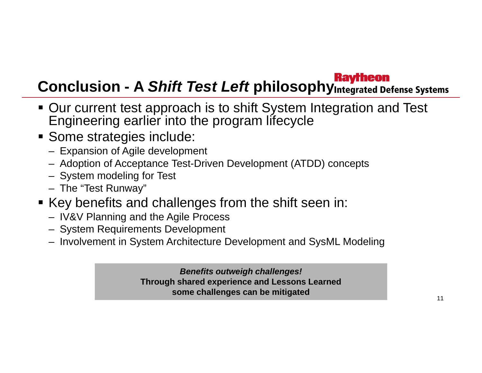# **Conclusion - A** *Shift Test Left* **philosophy**

- Our current test approach is to shift System Integration and Test Engineering earlier into the program lifecycle
- **Some strategies include:** 
	- Expansion of Agile development
	- Adoption of Acceptance Test-Driven Development (ATDD) concepts
	- System modeling for Test
	- The "Test Runway"
- **Key benefits and challenges from the shift seen in:** 
	- IV&V Planning and the Agile Process
	- System Requirements Development
	- Involvement in System Architecture Development and SysML Modeling

*B fit t i h h ll ! Benefits outweigh challenges!***Through shared experience and Lessons Learned some challenges can be mitigated**